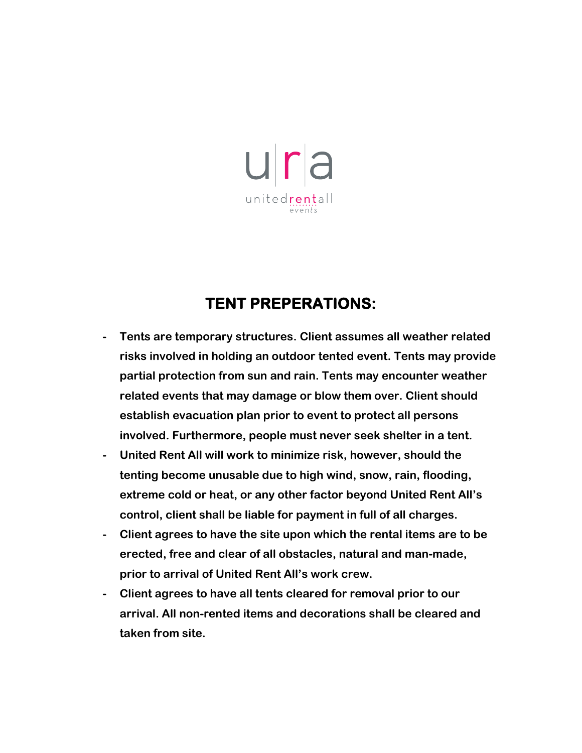

## **TENT PREPERATIONS:**

- **- Tents are temporary structures. Client assumes all weather related risks involved in holding an outdoor tented event. Tents may provide partial protection from sun and rain. Tents may encounter weather related events that may damage or blow them over. Client should establish evacuation plan prior to event to protect all persons involved. Furthermore, people must never seek shelter in a tent.**
- **- United Rent All will work to minimize risk, however, should the tenting become unusable due to high wind, snow, rain, flooding, extreme cold or heat, or any other factor beyond United Rent All's control, client shall be liable for payment in full of all charges.**
- **- Client agrees to have the site upon which the rental items are to be erected, free and clear of all obstacles, natural and man-made, prior to arrival of United Rent All's work crew.**
- **- Client agrees to have all tents cleared for removal prior to our arrival. All non-rented items and decorations shall be cleared and taken from site.**